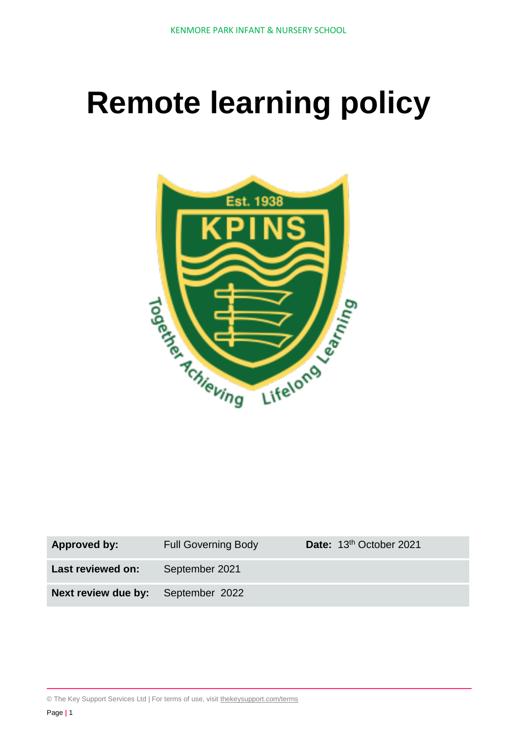# **Remote learning policy**



| <b>Approved by:</b>                       | <b>Full Governing Body</b> | Date: 13 <sup>th</sup> October 2021 |
|-------------------------------------------|----------------------------|-------------------------------------|
| Last reviewed on:                         | September 2021             |                                     |
| <b>Next review due by:</b> September 2022 |                            |                                     |

© The Key Support Services Ltd | For terms of use, visit [thekeysupport.com/terms](https://thekeysupport.com/terms-of-use)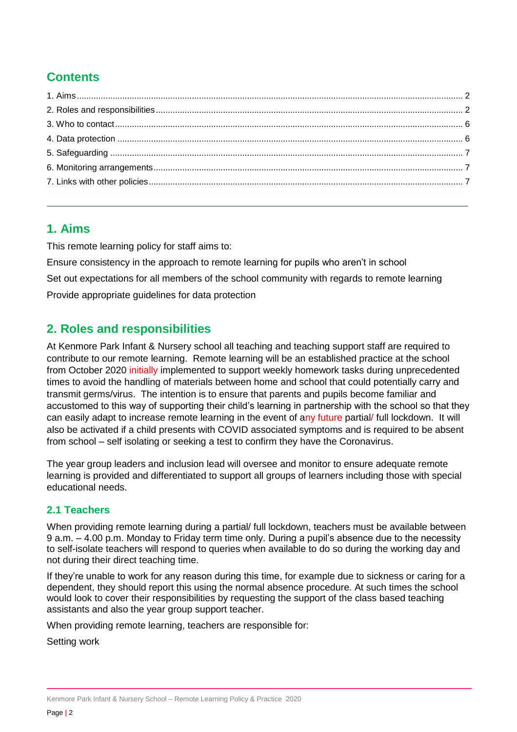## **Contents**

## <span id="page-1-0"></span>**1. Aims**

This remote learning policy for staff aims to:

Ensure consistency in the approach to remote learning for pupils who aren't in school Set out expectations for all members of the school community with regards to remote learning Provide appropriate guidelines for data protection

## <span id="page-1-1"></span>**2. Roles and responsibilities**

At Kenmore Park Infant & Nursery school all teaching and teaching support staff are required to contribute to our remote learning. Remote learning will be an established practice at the school from October 2020 initially implemented to support weekly homework tasks during unprecedented times to avoid the handling of materials between home and school that could potentially carry and transmit germs/virus. The intention is to ensure that parents and pupils become familiar and accustomed to this way of supporting their child's learning in partnership with the school so that they can easily adapt to increase remote learning in the event of any future partial/ full lockdown. It will also be activated if a child presents with COVID associated symptoms and is required to be absent from school – self isolating or seeking a test to confirm they have the Coronavirus.

The year group leaders and inclusion lead will oversee and monitor to ensure adequate remote learning is provided and differentiated to support all groups of learners including those with special educational needs.

### **2.1 Teachers**

When providing remote learning during a partial/ full lockdown, teachers must be available between 9 a.m. – 4.00 p.m. Monday to Friday term time only. During a pupil's absence due to the necessity to self-isolate teachers will respond to queries when available to do so during the working day and not during their direct teaching time.

If they're unable to work for any reason during this time, for example due to sickness or caring for a dependent, they should report this using the normal absence procedure. At such times the school would look to cover their responsibilities by requesting the support of the class based teaching assistants and also the year group support teacher.

When providing remote learning, teachers are responsible for:

Setting work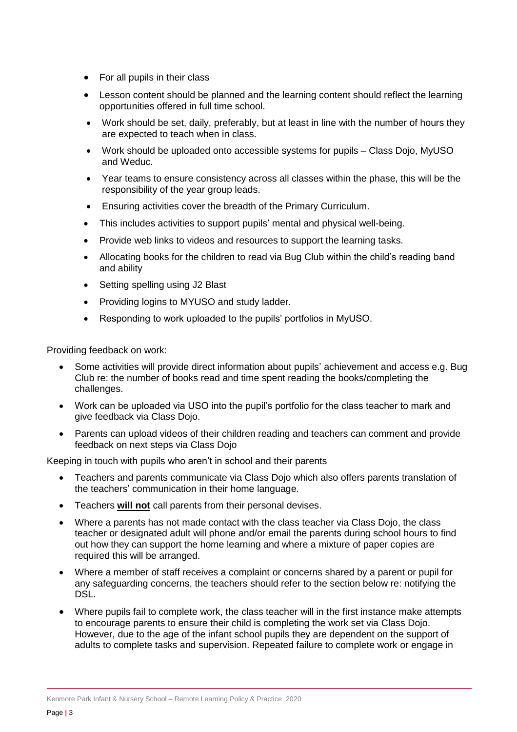- For all pupils in their class
- Lesson content should be planned and the learning content should reflect the learning opportunities offered in full time school.
- Work should be set, daily, preferably, but at least in line with the number of hours they are expected to teach when in class.
- Work should be uploaded onto accessible systems for pupils Class Dojo, MyUSO and Weduc.
- Year teams to ensure consistency across all classes within the phase, this will be the responsibility of the year group leads.
- Ensuring activities cover the breadth of the Primary Curriculum.
- This includes activities to support pupils' mental and physical well-being.
- Provide web links to videos and resources to support the learning tasks.
- Allocating books for the children to read via Bug Club within the child's reading band and ability
- Setting spelling using J2 Blast
- Providing logins to MYUSO and study ladder.
- Responding to work uploaded to the pupils' portfolios in MyUSO.

Providing feedback on work:

- Some activities will provide direct information about pupils' achievement and access e.g. Bug Club re: the number of books read and time spent reading the books/completing the challenges.
- Work can be uploaded via USO into the pupil's portfolio for the class teacher to mark and give feedback via Class Dojo.
- Parents can upload videos of their children reading and teachers can comment and provide feedback on next steps via Class Dojo

Keeping in touch with pupils who aren't in school and their parents

- Teachers and parents communicate via Class Dojo which also offers parents translation of the teachers' communication in their home language.
- Teachers **will not** call parents from their personal devises.
- Where a parents has not made contact with the class teacher via Class Dojo, the class teacher or designated adult will phone and/or email the parents during school hours to find out how they can support the home learning and where a mixture of paper copies are required this will be arranged.
- Where a member of staff receives a complaint or concerns shared by a parent or pupil for any safeguarding concerns, the teachers should refer to the section below re: notifying the DSL.
- Where pupils fail to complete work, the class teacher will in the first instance make attempts to encourage parents to ensure their child is completing the work set via Class Dojo. However, due to the age of the infant school pupils they are dependent on the support of adults to complete tasks and supervision. Repeated failure to complete work or engage in

Kenmore Park Infant & Nursery School – Remote Learning Policy & Practice 2020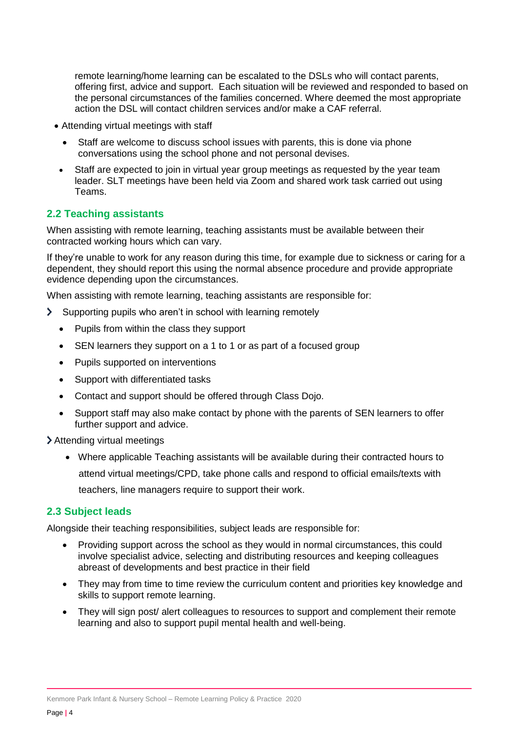remote learning/home learning can be escalated to the DSLs who will contact parents, offering first, advice and support. Each situation will be reviewed and responded to based on the personal circumstances of the families concerned. Where deemed the most appropriate action the DSL will contact children services and/or make a CAF referral.

- Attending virtual meetings with staff
	- Staff are welcome to discuss school issues with parents, this is done via phone conversations using the school phone and not personal devises.
- Staff are expected to join in virtual year group meetings as requested by the year team leader. SLT meetings have been held via Zoom and shared work task carried out using Teams.

#### **2.2 Teaching assistants**

When assisting with remote learning, teaching assistants must be available between their contracted working hours which can vary.

If they're unable to work for any reason during this time, for example due to sickness or caring for a dependent, they should report this using the normal absence procedure and provide appropriate evidence depending upon the circumstances.

When assisting with remote learning, teaching assistants are responsible for:

- $\blacktriangleright$ Supporting pupils who aren't in school with learning remotely
	- Pupils from within the class they support
	- SEN learners they support on a 1 to 1 or as part of a focused group
	- Pupils supported on interventions
	- Support with differentiated tasks
	- Contact and support should be offered through Class Dojo.
	- Support staff may also make contact by phone with the parents of SEN learners to offer further support and advice.

Attending virtual meetings

 Where applicable Teaching assistants will be available during their contracted hours to attend virtual meetings/CPD, take phone calls and respond to official emails/texts with teachers, line managers require to support their work.

#### **2.3 Subject leads**

Alongside their teaching responsibilities, subject leads are responsible for:

- Providing support across the school as they would in normal circumstances, this could involve specialist advice, selecting and distributing resources and keeping colleagues abreast of developments and best practice in their field
- They may from time to time review the curriculum content and priorities key knowledge and skills to support remote learning.
- They will sign post/ alert colleagues to resources to support and complement their remote learning and also to support pupil mental health and well-being.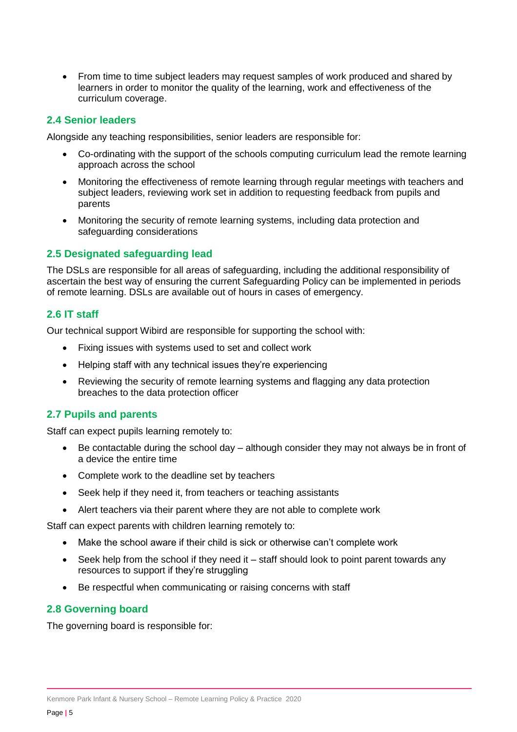• From time to time subject leaders may request samples of work produced and shared by learners in order to monitor the quality of the learning, work and effectiveness of the curriculum coverage.

#### **2.4 Senior leaders**

Alongside any teaching responsibilities, senior leaders are responsible for:

- Co-ordinating with the support of the schools computing curriculum lead the remote learning approach across the school
- Monitoring the effectiveness of remote learning through regular meetings with teachers and subject leaders, reviewing work set in addition to requesting feedback from pupils and parents
- Monitoring the security of remote learning systems, including data protection and safeguarding considerations

#### **2.5 Designated safeguarding lead**

The DSLs are responsible for all areas of safeguarding, including the additional responsibility of ascertain the best way of ensuring the current Safeguarding Policy can be implemented in periods of remote learning. DSLs are available out of hours in cases of emergency.

#### **2.6 IT staff**

Our technical support Wibird are responsible for supporting the school with:

- Fixing issues with systems used to set and collect work
- Helping staff with any technical issues they're experiencing
- Reviewing the security of remote learning systems and flagging any data protection breaches to the data protection officer

#### **2.7 Pupils and parents**

Staff can expect pupils learning remotely to:

- Be contactable during the school day although consider they may not always be in front of a device the entire time
- Complete work to the deadline set by teachers
- Seek help if they need it, from teachers or teaching assistants
- Alert teachers via their parent where they are not able to complete work

Staff can expect parents with children learning remotely to:

- Make the school aware if their child is sick or otherwise can't complete work
- Seek help from the school if they need it staff should look to point parent towards any resources to support if they're struggling
- Be respectful when communicating or raising concerns with staff

#### **2.8 Governing board**

The governing board is responsible for: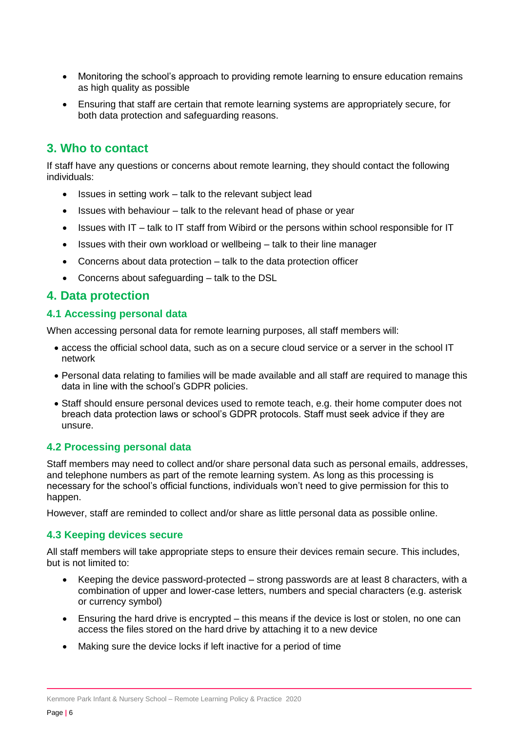- Monitoring the school's approach to providing remote learning to ensure education remains as high quality as possible
- Ensuring that staff are certain that remote learning systems are appropriately secure, for both data protection and safeguarding reasons.

## <span id="page-5-0"></span>**3. Who to contact**

If staff have any questions or concerns about remote learning, they should contact the following individuals:

- Issues in setting work talk to the relevant subject lead
- $\bullet$  Issues with behaviour talk to the relevant head of phase or year
- $\bullet$  Issues with IT talk to IT staff from Wibird or the persons within school responsible for IT
- Issues with their own workload or wellbeing talk to their line manager
- Concerns about data protection talk to the data protection officer
- Concerns about safeguarding talk to the DSL

#### <span id="page-5-1"></span>**4. Data protection**

#### **4.1 Accessing personal data**

When accessing personal data for remote learning purposes, all staff members will:

- access the official school data, such as on a secure cloud service or a server in the school IT network
- Personal data relating to families will be made available and all staff are required to manage this data in line with the school's GDPR policies.
- Staff should ensure personal devices used to remote teach, e.g. their home computer does not breach data protection laws or school's GDPR protocols. Staff must seek advice if they are unsure.

#### **4.2 Processing personal data**

Staff members may need to collect and/or share personal data such as personal emails, addresses, and telephone numbers as part of the remote learning system. As long as this processing is necessary for the school's official functions, individuals won't need to give permission for this to happen.

However, staff are reminded to collect and/or share as little personal data as possible online.

#### **4.3 Keeping devices secure**

All staff members will take appropriate steps to ensure their devices remain secure. This includes, but is not limited to:

- Keeping the device password-protected strong passwords are at least 8 characters, with a combination of upper and lower-case letters, numbers and special characters (e.g. asterisk or currency symbol)
- Ensuring the hard drive is encrypted this means if the device is lost or stolen, no one can access the files stored on the hard drive by attaching it to a new device
- Making sure the device locks if left inactive for a period of time